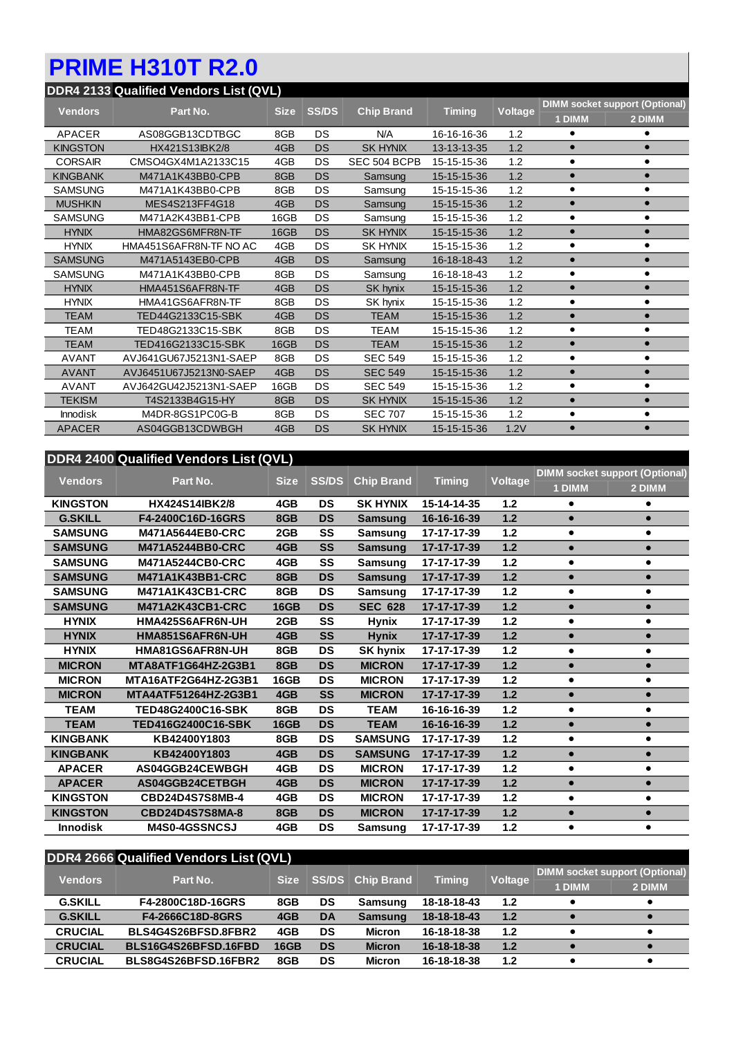## **PRIME H310T R2.0**

| DDR4 2133 Qualified Vendors List (QVL) |                        |             |              |                   |               |         |                                       |           |  |  |
|----------------------------------------|------------------------|-------------|--------------|-------------------|---------------|---------|---------------------------------------|-----------|--|--|
| <b>Vendors</b>                         | Part No.               | <b>Size</b> | <b>SS/DS</b> | <b>Chip Brand</b> | <b>Timing</b> | Voltage | <b>DIMM socket support (Optional)</b> |           |  |  |
|                                        |                        |             |              |                   |               |         | 1 DIMM                                | 2 DIMM    |  |  |
| <b>APACER</b>                          | AS08GGB13CDTBGC        | 8GB         | DS           | N/A               | 16-16-16-36   | 1.2     | ٠                                     |           |  |  |
| <b>KINGSTON</b>                        | HX421S13IBK2/8         | 4GB         | <b>DS</b>    | <b>SK HYNIX</b>   | 13-13-13-35   | 1.2     | $\bullet$                             |           |  |  |
| <b>CORSAIR</b>                         | CMSO4GX4M1A2133C15     | 4GB         | DS           | SEC 504 BCPB      | 15-15-15-36   | 1.2     | $\bullet$                             | $\bullet$ |  |  |
| <b>KINGBANK</b>                        | M471A1K43BB0-CPB       | 8GB         | <b>DS</b>    | Samsung           | 15-15-15-36   | 1.2     | $\bullet$                             | $\bullet$ |  |  |
| <b>SAMSUNG</b>                         | M471A1K43BB0-CPB       | 8GB         | DS           | Samsung           | 15-15-15-36   | 1.2     | $\bullet$                             | ٠         |  |  |
| <b>MUSHKIN</b>                         | MES4S213FF4G18         | 4GB         | <b>DS</b>    | Samsung           | 15-15-15-36   | 1.2     | $\bullet$                             | $\bullet$ |  |  |
| <b>SAMSUNG</b>                         | M471A2K43BB1-CPB       | 16GB        | DS           | Samsung           | 15-15-15-36   | 1.2     | $\bullet$                             | $\bullet$ |  |  |
| <b>HYNIX</b>                           | HMA82GS6MFR8N-TF       | 16GB        | <b>DS</b>    | <b>SK HYNIX</b>   | 15-15-15-36   | 1.2     | $\bullet$                             |           |  |  |
| <b>HYNIX</b>                           | HMA451S6AFR8N-TF NO AC | 4GB         | DS           | <b>SK HYNIX</b>   | 15-15-15-36   | 1.2     | ٠                                     |           |  |  |
| <b>SAMSUNG</b>                         | M471A5143EB0-CPB       | 4GB         | <b>DS</b>    | Samsung           | 16-18-18-43   | 1.2     | $\bullet$                             |           |  |  |
| SAMSUNG                                | M471A1K43BB0-CPB       | 8GB         | DS           | Samsung           | 16-18-18-43   | 1.2     | $\bullet$                             |           |  |  |
| <b>HYNIX</b>                           | HMA451S6AFR8N-TF       | 4GB         | <b>DS</b>    | SK hynix          | 15-15-15-36   | 1.2     | $\bullet$                             |           |  |  |
| <b>HYNIX</b>                           | HMA41GS6AFR8N-TF       | 8GB         | DS           | SK hynix          | 15-15-15-36   | 1.2     | $\bullet$                             | $\bullet$ |  |  |
| <b>TEAM</b>                            | TED44G2133C15-SBK      | 4GB         | <b>DS</b>    | <b>TEAM</b>       | 15-15-15-36   | 1.2     | $\bullet$                             | $\bullet$ |  |  |
| TEAM                                   | TED48G2133C15-SBK      | 8GB         | DS           | TEAM              | 15-15-15-36   | 1.2     | $\bullet$                             | $\bullet$ |  |  |
| <b>TEAM</b>                            | TED416G2133C15-SBK     | 16GB        | <b>DS</b>    | <b>TEAM</b>       | 15-15-15-36   | 1.2     | $\bullet$                             | $\bullet$ |  |  |
| <b>AVANT</b>                           | AVJ641GU67J5213N1-SAEP | 8GB         | DS           | <b>SEC 549</b>    | 15-15-15-36   | 1.2     | $\bullet$                             |           |  |  |
| <b>AVANT</b>                           | AVJ6451U67J5213N0-SAEP | 4GB         | <b>DS</b>    | <b>SEC 549</b>    | 15-15-15-36   | 1.2     | $\bullet$                             | $\bullet$ |  |  |
| <b>AVANT</b>                           | AVJ642GU42J5213N1-SAEP | 16GB        | DS           | <b>SEC 549</b>    | 15-15-15-36   | 1.2     | $\bullet$                             | $\bullet$ |  |  |
| <b>TEKISM</b>                          | T4S2133B4G15-HY        | 8GB         | <b>DS</b>    | <b>SK HYNIX</b>   | 15-15-15-36   | 1.2     | $\bullet$                             | $\bullet$ |  |  |
| <b>Innodisk</b>                        | M4DR-8GS1PC0G-B        | 8GB         | DS           | <b>SEC 707</b>    | 15-15-15-36   | 1.2     | $\bullet$                             | $\bullet$ |  |  |
| <b>APACER</b>                          | AS04GGB13CDWBGH        | 4GB         | DS           | <b>SK HYNIX</b>   | 15-15-15-36   | 1.2V    |                                       | $\bullet$ |  |  |

## **DDR4 2400 Qualified Vendors List (QVL)**

| <b>Vendors</b>  | Part No.                | <b>Size</b> | <b>SS/DS</b> | <b>Chip Brand</b> | <b>Timing</b> | Voltage | <b>DIMM socket support (Optional)</b> |           |
|-----------------|-------------------------|-------------|--------------|-------------------|---------------|---------|---------------------------------------|-----------|
|                 |                         |             |              |                   |               |         | 1 DIMM                                | 2 DIMM    |
| <b>KINGSTON</b> | <b>HX424S14IBK2/8</b>   | 4GB         | <b>DS</b>    | <b>SK HYNIX</b>   | 15-14-14-35   | 1.2     |                                       |           |
| <b>G.SKILL</b>  | F4-2400C16D-16GRS       | 8GB         | <b>DS</b>    | <b>Samsung</b>    | 16-16-16-39   | 1.2     | $\bullet$                             |           |
| <b>SAMSUNG</b>  | M471A5644EB0-CRC        | 2GB         | SS           | <b>Samsung</b>    | 17-17-17-39   | $1.2$   | $\bullet$                             | ٠         |
| <b>SAMSUNG</b>  | M471A5244BB0-CRC        | 4GB         | <b>SS</b>    | <b>Samsung</b>    | 17-17-17-39   | 1.2     | $\bullet$                             | $\bullet$ |
| <b>SAMSUNG</b>  | M471A5244CB0-CRC        | 4GB         | SS           | <b>Samsung</b>    | 17-17-17-39   | $1.2$   | $\bullet$                             | $\bullet$ |
| <b>SAMSUNG</b>  | <b>M471A1K43BB1-CRC</b> | 8GB         | <b>DS</b>    | <b>Samsung</b>    | 17-17-17-39   | $1.2$   | $\bullet$                             | $\bullet$ |
| <b>SAMSUNG</b>  | M471A1K43CB1-CRC        | 8GB         | <b>DS</b>    | <b>Samsung</b>    | 17-17-17-39   | $1.2$   | $\bullet$                             | $\bullet$ |
| <b>SAMSUNG</b>  | M471A2K43CB1-CRC        | <b>16GB</b> | <b>DS</b>    | <b>SEC 628</b>    | 17-17-17-39   | $1.2$   | $\bullet$                             | $\bullet$ |
| <b>HYNIX</b>    | HMA425S6AFR6N-UH        | 2GB         | SS           | <b>Hynix</b>      | 17-17-17-39   | $1.2$   | $\bullet$                             | $\bullet$ |
| <b>HYNIX</b>    | HMA851S6AFR6N-UH        | 4GB         | <b>SS</b>    | <b>Hynix</b>      | 17-17-17-39   | $1.2$   | $\bullet$                             | $\bullet$ |
| <b>HYNIX</b>    | HMA81GS6AFR8N-UH        | 8GB         | <b>DS</b>    | <b>SK hynix</b>   | 17-17-17-39   | $1.2$   | $\bullet$                             | $\bullet$ |
| <b>MICRON</b>   | MTA8ATF1G64HZ-2G3B1     | 8GB         | <b>DS</b>    | <b>MICRON</b>     | 17-17-17-39   | $1.2$   |                                       | $\bullet$ |
| <b>MICRON</b>   | MTA16ATF2G64HZ-2G3B1    | <b>16GB</b> | <b>DS</b>    | <b>MICRON</b>     | 17-17-17-39   | $1.2$   | $\bullet$                             | ٠         |
| <b>MICRON</b>   | MTA4ATF51264HZ-2G3B1    | 4GB         | <b>SS</b>    | <b>MICRON</b>     | 17-17-17-39   | 1.2     | $\bullet$                             | $\bullet$ |
| <b>TEAM</b>     | TED48G2400C16-SBK       | 8GB         | <b>DS</b>    | <b>TEAM</b>       | 16-16-16-39   | $1.2$   | $\bullet$                             | ٠         |
| <b>TEAM</b>     | TED416G2400C16-SBK      | <b>16GB</b> | <b>DS</b>    | <b>TEAM</b>       | 16-16-16-39   | 1.2     | $\bullet$                             | $\bullet$ |
| <b>KINGBANK</b> | KB42400Y1803            | 8GB         | <b>DS</b>    | <b>SAMSUNG</b>    | 17-17-17-39   | $1.2$   | $\bullet$                             | $\bullet$ |
| <b>KINGBANK</b> | KB42400Y1803            | 4GB         | <b>DS</b>    | <b>SAMSUNG</b>    | 17-17-17-39   | $1.2$   | $\bullet$                             | $\bullet$ |
| <b>APACER</b>   | AS04GGB24CEWBGH         | 4GB         | <b>DS</b>    | <b>MICRON</b>     | 17-17-17-39   | $1.2$   | $\bullet$                             | $\bullet$ |
| <b>APACER</b>   | AS04GGB24CETBGH         | 4GB         | <b>DS</b>    | <b>MICRON</b>     | 17-17-17-39   | $1.2$   | $\bullet$                             | $\bullet$ |
| <b>KINGSTON</b> | CBD24D4S7S8MB-4         | 4GB         | <b>DS</b>    | <b>MICRON</b>     | 17-17-17-39   | $1.2$   | $\bullet$                             | $\bullet$ |
| <b>KINGSTON</b> | <b>CBD24D4S7S8MA-8</b>  | 8GB         | <b>DS</b>    | <b>MICRON</b>     | 17-17-17-39   | $1.2$   |                                       |           |
| <b>Innodisk</b> | <b>M4S0-4GSSNCSJ</b>    | 4GB         | <b>DS</b>    | Samsung           | 17-17-17-39   | $1.2$   |                                       |           |

| <b>DDR4 2666 Qualified Vendors List (QVL)</b> |                      |             |              |                   |               |         |                                       |        |  |
|-----------------------------------------------|----------------------|-------------|--------------|-------------------|---------------|---------|---------------------------------------|--------|--|
| <b>Vendors</b>                                | Part No.             | <b>Size</b> | <b>SS/DS</b> | <b>Chip Brand</b> | <b>Timing</b> | Voltage | <b>DIMM</b> socket support (Optional) |        |  |
|                                               |                      |             |              |                   |               |         | 1 DIMM                                | 2 DIMM |  |
| <b>G.SKILL</b>                                | F4-2800C18D-16GRS    | 8GB         | DS           | Samsung           | 18-18-18-43   | 1.2     |                                       |        |  |
| <b>G.SKILL</b>                                | F4-2666C18D-8GRS     | 4GB         | <b>DA</b>    | <b>Samsung</b>    | 18-18-18-43   | 1.2     |                                       |        |  |
| <b>CRUCIAL</b>                                | BLS4G4S26BFSD.8FBR2  | 4GB         | DS           | <b>Micron</b>     | 16-18-18-38   | 1.2     |                                       |        |  |
| <b>CRUCIAL</b>                                | BLS16G4S26BFSD.16FBD | <b>16GB</b> | <b>DS</b>    | <b>Micron</b>     | 16-18-18-38   | 1.2     |                                       |        |  |
| <b>CRUCIAL</b>                                | BLS8G4S26BFSD.16FBR2 | 8GB         | DS           | <b>Micron</b>     | 16-18-18-38   | 1.2     |                                       |        |  |